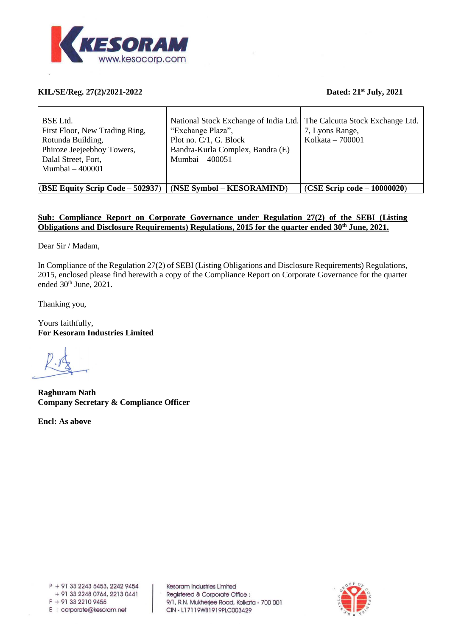

# **KIL/SE/Reg. 27(2)/2021-2022 Dated: 21st July, 2021**

| BSE Ltd.<br>First Floor, New Trading Ring,<br>Rotunda Building,<br>Phiroze Jeejeebhoy Towers,<br>Dalal Street, Fort,<br>Mumbai $-400001$ | National Stock Exchange of India Ltd. The Calcutta Stock Exchange Ltd.<br>"Exchange Plaza",<br>Plot no. $C/1$ , G. Block<br>Bandra-Kurla Complex, Bandra (E)<br>Mumbai - 400051 | 7, Lyons Range,<br>Kolkata $-700001$ |
|------------------------------------------------------------------------------------------------------------------------------------------|---------------------------------------------------------------------------------------------------------------------------------------------------------------------------------|--------------------------------------|
| $  (BSE Equity Script Code - 502937)$                                                                                                    | (NSE Symbol – KESORAMIND)                                                                                                                                                       | $(CSE$ Scrip code $-10000020$        |

# **Sub: Compliance Report on Corporate Governance under Regulation 27(2) of the SEBI (Listing Obligations and Disclosure Requirements) Regulations, 2015 for the quarter ended 30th June, 2021.**

Dear Sir / Madam,

In Compliance of the Regulation 27(2) of SEBI (Listing Obligations and Disclosure Requirements) Regulations, 2015, enclosed please find herewith a copy of the Compliance Report on Corporate Governance for the quarter ended 30<sup>th</sup> June, 2021.

Thanking you,

Yours faithfully, **For Kesoram Industries Limited**

**Raghuram Nath Company Secretary & Compliance Officer**

**Encl: As above**

Kesoram Industries Limited Registered & Corporate Office : 9/1, R.N. Mukherjee Road, Kolkata - 700 001 CIN - L17119WB1919PLC003429

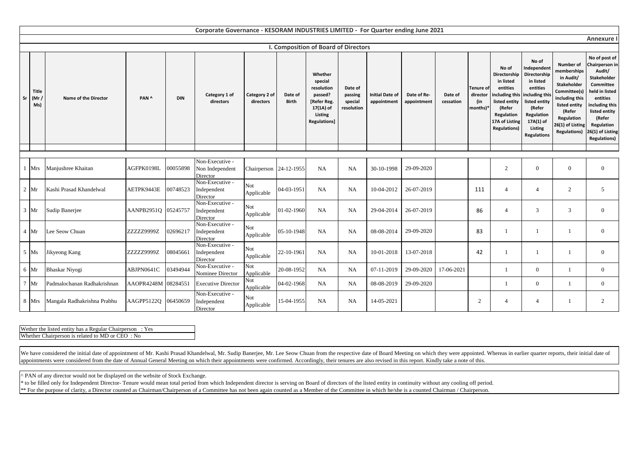|        | Corporate Governance - KESORAM INDUSTRIES LIMITED - For Quarter ending June 2021 |                             |            |            |                                                |                            |                         |                                                                                                   |                                             |                                       |                            |                      |                                                 |                                                                                                                                                    |                                                                                                                                                                        |                                                                                                                                                                                          |                                                                                                                                                                                                           |
|--------|----------------------------------------------------------------------------------|-----------------------------|------------|------------|------------------------------------------------|----------------------------|-------------------------|---------------------------------------------------------------------------------------------------|---------------------------------------------|---------------------------------------|----------------------------|----------------------|-------------------------------------------------|----------------------------------------------------------------------------------------------------------------------------------------------------|------------------------------------------------------------------------------------------------------------------------------------------------------------------------|------------------------------------------------------------------------------------------------------------------------------------------------------------------------------------------|-----------------------------------------------------------------------------------------------------------------------------------------------------------------------------------------------------------|
|        | Annexure                                                                         |                             |            |            |                                                |                            |                         |                                                                                                   |                                             |                                       |                            |                      |                                                 |                                                                                                                                                    |                                                                                                                                                                        |                                                                                                                                                                                          |                                                                                                                                                                                                           |
|        |                                                                                  |                             |            |            |                                                |                            |                         | I. Composition of Board of Directors                                                              |                                             |                                       |                            |                      |                                                 |                                                                                                                                                    |                                                                                                                                                                        |                                                                                                                                                                                          |                                                                                                                                                                                                           |
| Sr     | <b>Title</b><br>(Mr /<br>Ms)                                                     | Name of the Director        | PAN ^      | <b>DIN</b> | Category 1 of<br>directors                     | Category 2 of<br>directors | Date of<br><b>Birth</b> | Whether<br>special<br>resolution<br>passed?<br>Refer Reg.<br>17(1A) of<br>Listing<br>Regulations] | Date of<br>passing<br>special<br>resolution | <b>Initial Date of</b><br>appointment | Date of Re-<br>appointment | Date of<br>cessation | <b>Tenure of</b><br>director<br>(in<br>months)* | No of<br>Directorship<br>in listed<br>entities<br>including this<br>listed entity<br>(Refer<br>Regulation<br>17A of Listing<br><b>Regulations)</b> | No of<br>Independent<br>Directorship<br>in listed<br>entities<br>including thi:<br>listed entity<br>(Refer<br>Regulation<br>17A(1) of<br>Listing<br><b>Regulations</b> | <b>Number of</b><br>memberships<br>in Audit/<br><b>Stakeholder</b><br>Committee(s)<br>including this<br>listed entity<br>(Refer<br>Regulation<br>26(1) of Listing<br><b>Regulations)</b> | No of post of<br>Chairperson in<br>Audit/<br>Stakeholder<br>Committee<br>held in listed<br>entities<br>including this<br>listed entity<br>(Refer<br>Regulation<br>26(1) of Listing<br><b>Regulations)</b> |
|        |                                                                                  |                             |            |            |                                                |                            |                         |                                                                                                   |                                             |                                       |                            |                      |                                                 |                                                                                                                                                    |                                                                                                                                                                        |                                                                                                                                                                                          |                                                                                                                                                                                                           |
|        |                                                                                  |                             |            |            |                                                |                            |                         |                                                                                                   |                                             |                                       |                            |                      |                                                 |                                                                                                                                                    |                                                                                                                                                                        |                                                                                                                                                                                          |                                                                                                                                                                                                           |
| -1     | Mrs                                                                              | Manjushree Khaitan          | AGFPK0198L | 00055898   | Non-Executive -<br>Non Independent<br>Director | Chairperson 24-12-1955     |                         | NA                                                                                                | <b>NA</b>                                   | 30-10-1998                            | 29-09-2020                 |                      |                                                 | 2                                                                                                                                                  | $\mathbf{0}$                                                                                                                                                           | $\mathbf{0}$                                                                                                                                                                             | $\overline{0}$                                                                                                                                                                                            |
|        | $2 \,$ Mr                                                                        | Kashi Prasad Khandelwal     | AETPK9443E | 00748523   | Non-Executive -<br>Independent<br>Director     | Not<br>Applicable          | 04-03-1951              | NA                                                                                                | <b>NA</b>                                   | 10-04-2012                            | 26-07-2019                 |                      | 111                                             | $\overline{4}$                                                                                                                                     | $\overline{4}$                                                                                                                                                         | $\overline{2}$                                                                                                                                                                           | 5                                                                                                                                                                                                         |
|        | $3 \text{ Mr}$                                                                   | Sudip Banerjee              | AANPB2951Q | 05245757   | Non-Executive -<br>Independent<br>Director     | Not<br>Applicable          | 01-02-1960              | NA                                                                                                | <b>NA</b>                                   | 29-04-2014                            | 26-07-2019                 |                      | 86                                              | $\overline{4}$                                                                                                                                     | 3                                                                                                                                                                      | 3                                                                                                                                                                                        | $\mathbf{0}$                                                                                                                                                                                              |
|        | $4$ Mr                                                                           | Lee Seow Chuan              | ZZZZZ9999Z | 02696217   | Non-Executive -<br>Independent<br>Director     | Not<br>Applicable          | 05-10-1948              | NA                                                                                                | <b>NA</b>                                   | 08-08-2014                            | 29-09-2020                 |                      | 83                                              |                                                                                                                                                    |                                                                                                                                                                        |                                                                                                                                                                                          | $\mathbf{0}$                                                                                                                                                                                              |
|        | $5$ Ms                                                                           | Jikyeong Kang               | ZZZZZ9999Z | 08045661   | Non-Executive -<br>Independent<br>Director     | Not<br>Applicable          | 22-10-1961              | <b>NA</b>                                                                                         | <b>NA</b>                                   | 10-01-2018                            | 13-07-2018                 |                      | 42                                              |                                                                                                                                                    |                                                                                                                                                                        |                                                                                                                                                                                          | $\overline{0}$                                                                                                                                                                                            |
|        | 6 Mr                                                                             | Bhaskar Niyogi              | ABJPN0641C | 03494944   | Non-Executive -<br>Nominee Director            | Not<br>Applicable          | 20-08-1952              | NA                                                                                                | <b>NA</b>                                   | 07-11-2019                            | 29-09-2020                 | 17-06-2021           |                                                 | $\mathbf{1}$                                                                                                                                       | $\overline{0}$                                                                                                                                                         |                                                                                                                                                                                          | $\overline{0}$                                                                                                                                                                                            |
| $\tau$ | Mr                                                                               | Padmalochanan Radhakrishnan | AAOPR4248M | 08284551   | <b>Executive Director</b>                      | Not.<br>Applicable         | 04-02-1968              | <b>NA</b>                                                                                         | <b>NA</b>                                   | 08-08-2019                            | 29-09-2020                 |                      |                                                 |                                                                                                                                                    | $\overline{0}$                                                                                                                                                         |                                                                                                                                                                                          | $\mathbf{0}$                                                                                                                                                                                              |
|        | 8 Mrs                                                                            | Mangala Radhakrishna Prabhu | AAGPP5122Q | 06450659   | Non-Executive -<br>Independent<br>Director     | Not<br>Applicable          | 15-04-1955              | NA                                                                                                | <b>NA</b>                                   | 14-05-2021                            |                            |                      | 2                                               | $\overline{4}$                                                                                                                                     | $\overline{4}$                                                                                                                                                         |                                                                                                                                                                                          | 2                                                                                                                                                                                                         |

| Wether the listed entity has a Regular Chairperson: Yes |
|---------------------------------------------------------|
| Whether Chairperson is related to MD or CEO : No        |

We have considered the initial date of appointment of Mr. Kashi Prasad Khandelwal, Mr. Sudip Banerjee, Mr. Lee Seow Chuan from the respective date of Board Meeting on which they were appointed. Whereas in earlier quarter r appointments were considered from the date of Annual General Meeting on which their appointments were confirmed. Accordingly, their tenures are also revised in this report. Kindly take a note of this.

^ PAN of any director would not be displayed on the website of Stock Exchange.

\* to be filled only for Independent Director-Tenure would mean total period from which Independent director is serving on Board of directors of the listed entity in continuity without any cooling off period. \*\* For the purpose of clarity, a Director counted as Chairman/Chairperson of a Committee has not been again counted as a Member of the Committee in which he/she is a counted Chairman / Chairperson.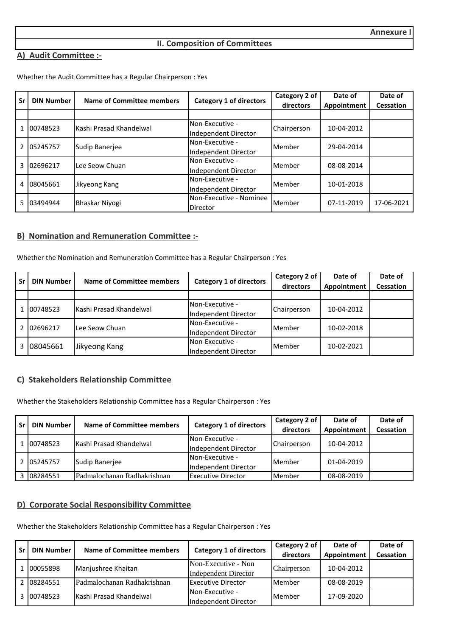# **II. Composition of Committees**

### **A) Audit Committee :-**

Whether the Audit Committee has a Regular Chairperson : Yes

| Sr            | <b>DIN Number</b> | Name of Committee members | <b>Category 1 of directors</b> | Category 2 of | Date of     | Date of    |
|---------------|-------------------|---------------------------|--------------------------------|---------------|-------------|------------|
|               |                   |                           |                                | directors     | Appointment | Cessation  |
|               |                   |                           |                                |               |             |            |
|               | 00748523          | Kashi Prasad Khandelwal   | Non-Executive -                | Chairperson   | 10-04-2012  |            |
|               |                   |                           | Independent Director           |               |             |            |
| $\mathcal{P}$ |                   | Sudip Banerjee            | Non-Executive -                | Member        | 29-04-2014  |            |
|               | 05245757          |                           | Independent Director           |               |             |            |
| 3             | 02696217          | Lee Seow Chuan            | Non-Executive -                | Member        | 08-08-2014  |            |
|               |                   |                           | Independent Director           |               |             |            |
| 4             | 08045661          |                           | Non-Executive -                | Member        | 10-01-2018  |            |
|               |                   | Jikyeong Kang             | Independent Director           |               |             |            |
| 5.            | 03494944          |                           | Non-Executive - Nominee        | Member        | 07-11-2019  | 17-06-2021 |
|               |                   | Bhaskar Niyogi            | Director                       |               |             |            |

# **B) Nomination and Remuneration Committee :-**

Whether the Nomination and Remuneration Committee has a Regular Chairperson : Yes

| Sr | <b>DIN Number</b> | Name of Committee members | <b>Category 1 of directors</b> | Category 2 of | Date of     | Date of          |
|----|-------------------|---------------------------|--------------------------------|---------------|-------------|------------------|
|    |                   |                           |                                | directors     | Appointment | <b>Cessation</b> |
|    |                   |                           |                                |               |             |                  |
|    | 00748523          | Kashi Prasad Khandelwal   | Non-Executive -                | Chairperson   | 10-04-2012  |                  |
|    |                   |                           | Independent Director           |               |             |                  |
|    | 02696217          |                           | Non-Executive -                | Member        | 10-02-2018  |                  |
|    |                   | Lee Seow Chuan            | Independent Director           |               |             |                  |
|    |                   |                           | Non-Executive -                |               |             |                  |
|    | 08045661          | Jikyeong Kang             | Independent Director           | Member        | 10-02-2021  |                  |

# **C) Stakeholders Relationship Committee**

Whether the Stakeholders Relationship Committee has a Regular Chairperson : Yes

| Sr | <b>DIN Number</b> | Name of Committee members   | <b>Category 1 of directors</b> | Category 2 of | Date of     | Date of   |
|----|-------------------|-----------------------------|--------------------------------|---------------|-------------|-----------|
|    |                   |                             |                                | directors     | Appointment | Cessation |
|    |                   |                             | Non-Executive -                |               | 10-04-2012  |           |
|    | 00748523          | Kashi Prasad Khandelwal     | Independent Director           | Chairperson   |             |           |
|    | 2 05245757        | Sudip Baneriee              | Non-Executive -                | Member        | 01-04-2019  |           |
|    |                   |                             | Independent Director           |               |             |           |
|    | 3 08284551        | Padmalochanan Radhakrishnan | <b>Executive Director</b>      | Member        | 08-08-2019  |           |

# **D) Corporate Social Responsibility Committee**

Whether the Stakeholders Relationship Committee has a Regular Chairperson : Yes

| l Sr | <b>DIN Number</b> | Name of Committee members   | <b>Category 1 of directors</b> | Category 2 of | Date of     | Date of          |
|------|-------------------|-----------------------------|--------------------------------|---------------|-------------|------------------|
|      |                   |                             |                                | directors     | Appointment | <b>Cessation</b> |
|      |                   |                             | Non-Executive - Non            |               | 10-04-2012  |                  |
|      | 00055898          | Manjushree Khaitan          | <b>Independent Director</b>    | Chairperson   |             |                  |
|      | 08284551          | Padmalochanan Radhakrishnan | <b>Executive Director</b>      | Member        | 08-08-2019  |                  |
| 3    | 00748523          | Kashi Prasad Khandelwal     | Non-Executive -                | Member        |             |                  |
|      |                   |                             | Independent Director           |               | 17-09-2020  |                  |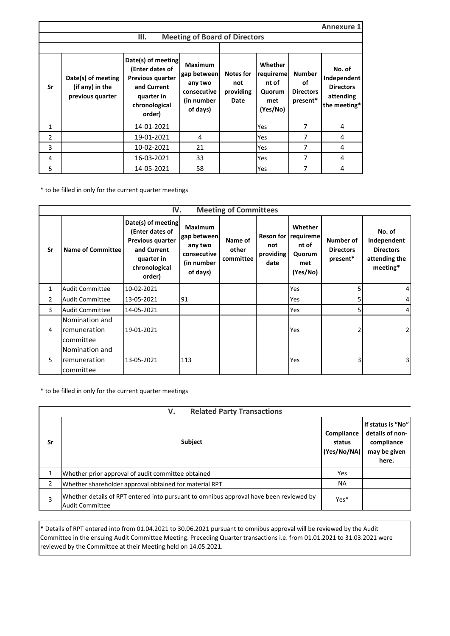|    | Annexure 1                                                |                                                                                                                   |                                                                                   |                                       |                                                            |                                                     |                                                                        |  |  |  |
|----|-----------------------------------------------------------|-------------------------------------------------------------------------------------------------------------------|-----------------------------------------------------------------------------------|---------------------------------------|------------------------------------------------------------|-----------------------------------------------------|------------------------------------------------------------------------|--|--|--|
|    |                                                           | <b>Meeting of Board of Directors</b>                                                                              |                                                                                   |                                       |                                                            |                                                     |                                                                        |  |  |  |
|    |                                                           |                                                                                                                   |                                                                                   |                                       |                                                            |                                                     |                                                                        |  |  |  |
| Sr | Date(s) of meeting<br>(if any) in the<br>previous quarter | Date(s) of meeting<br>(Enter dates of<br>Previous quarter<br>and Current<br>quarter in<br>chronological<br>order) | <b>Maximum</b><br>gap between<br>any two<br>consecutive<br>(in number<br>of days) | Notes for<br>not<br>providing<br>Date | Whether<br>requireme<br>nt of<br>Quorum<br>met<br>(Yes/No) | <b>Number</b><br>οf<br><b>Directors</b><br>present* | No. of<br>Independent<br><b>Directors</b><br>attending<br>the meeting* |  |  |  |
| 1  |                                                           | 14-01-2021                                                                                                        |                                                                                   |                                       | Yes                                                        | 7                                                   | 4                                                                      |  |  |  |
| 2  |                                                           | 19-01-2021                                                                                                        | 4                                                                                 |                                       | Yes                                                        | 7                                                   | 4                                                                      |  |  |  |
| 3  |                                                           | 10-02-2021                                                                                                        | 21                                                                                |                                       | Yes                                                        | 7                                                   | 4                                                                      |  |  |  |
| 4  |                                                           | 16-03-2021                                                                                                        | 33                                                                                |                                       | Yes                                                        | 7                                                   | 4                                                                      |  |  |  |
| 5  |                                                           | 14-05-2021                                                                                                        | 58                                                                                |                                       | Yes                                                        | 7                                                   | 4                                                                      |  |  |  |

\* to be filled in only for the current quarter meetings

|    | <b>Meeting of Committees</b><br>IV.         |                                                                                                                   |                                                                                   |                               |                          |                                                                      |                                           |                                                                        |  |  |
|----|---------------------------------------------|-------------------------------------------------------------------------------------------------------------------|-----------------------------------------------------------------------------------|-------------------------------|--------------------------|----------------------------------------------------------------------|-------------------------------------------|------------------------------------------------------------------------|--|--|
| Sr | <b>Name of Committee</b>                    | Date(s) of meeting<br>(Enter dates of<br>Previous quarter<br>and Current<br>quarter in<br>chronological<br>order) | <b>Maximum</b><br>gap between<br>any two<br>consecutive<br>(in number<br>of days) | Name of<br>other<br>committee | not<br>providing<br>date | Whether<br>Reson for requireme<br>nt of<br>Quorum<br>met<br>(Yes/No) | Number of<br><b>Directors</b><br>present* | No. of<br>Independent<br><b>Directors</b><br>attending the<br>meeting* |  |  |
| 1  | <b>Audit Committee</b>                      | 10-02-2021                                                                                                        |                                                                                   |                               |                          | Yes                                                                  |                                           |                                                                        |  |  |
| 2  | <b>Audit Committee</b>                      | 13-05-2021                                                                                                        | 91                                                                                |                               |                          | Yes                                                                  |                                           | 4                                                                      |  |  |
| 3  | <b>Audit Committee</b>                      | 14-05-2021                                                                                                        |                                                                                   |                               |                          | Yes                                                                  | 5                                         | 4                                                                      |  |  |
| 4  | Nomination and<br>remuneration<br>committee | 19-01-2021                                                                                                        |                                                                                   |                               |                          | Yes                                                                  |                                           | $\overline{2}$                                                         |  |  |
| 5  | Nomination and<br>remuneration<br>committee | 13-05-2021                                                                                                        | 113                                                                               |                               |                          | Yes                                                                  |                                           | 3                                                                      |  |  |

\* to be filled in only for the current quarter meetings

|                | <b>Related Party Transactions</b><br>V.                                                                          |                                     |                                                                             |  |  |  |  |  |
|----------------|------------------------------------------------------------------------------------------------------------------|-------------------------------------|-----------------------------------------------------------------------------|--|--|--|--|--|
| Sr             | Subject                                                                                                          | Compliance<br>status<br>(Yes/No/NA) | If status is "No"<br>details of non-<br>compliance<br>may be given<br>here. |  |  |  |  |  |
|                | Whether prior approval of audit committee obtained                                                               | Yes                                 |                                                                             |  |  |  |  |  |
| $\mathfrak{p}$ | Whether shareholder approval obtained for material RPT                                                           | <b>NA</b>                           |                                                                             |  |  |  |  |  |
| 3              | Whether details of RPT entered into pursuant to omnibus approval have been reviewed by<br><b>Audit Committee</b> | Yes*                                |                                                                             |  |  |  |  |  |

**\*** Details of RPT entered into from 01.04.2021 to 30.06.2021 pursuant to omnibus approval will be reviewed by the Audit Committee in the ensuing Audit Committee Meeting. Preceding Quarter transactions i.e. from 01.01.2021 to 31.03.2021 were reviewed by the Committee at their Meeting held on 14.05.2021.